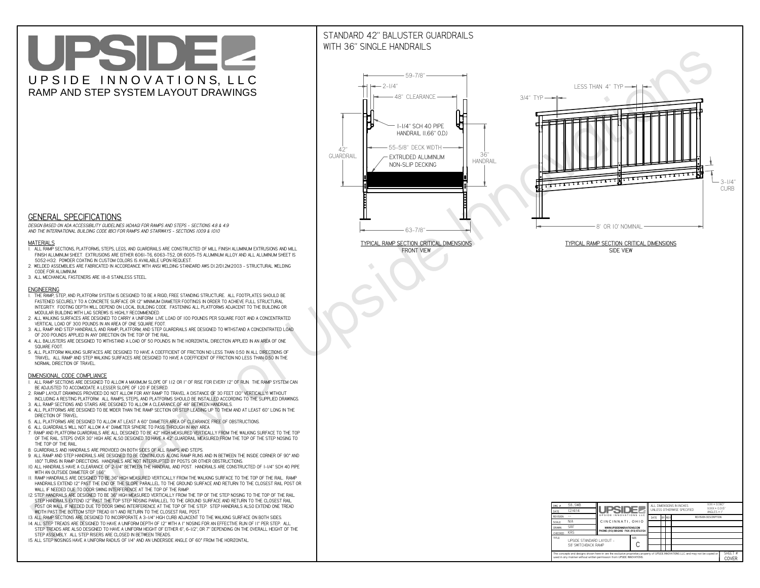# UPSIDEL UPSIDE INNOVATIONS, LLC RAMP AND STEP SYSTEM LAYOUT DRAWINGS

## STANDARD 42" BALUSTER GUARDRAILSWITH 36" SINGLE HANDRAILS

**FRONT VIEW**





**GENERAL SPECIFICATIONS**

 *DESIGN BASED ON ADA ACCESSIBILITY GUIDELINES (ADAAG) FOR RAMPS AND STEPS - SECTIONS 4.8 & 4.9AND THE INTERNATIONAL BUILDING CODE (IBC) FOR RAMPS AND STAIRWAYS - SECTIONS 1009 & 1010*

#### **MATERIALS**

- **1. ALL RAMP SECTIONS, PLATFORMS, STEPS, LEGS, AND GUARDRAILS ARE CONSTRUCTED OF MILL FINISH ALUMINUM EXTRUSIONS AND MILL FINISH ALUMINUM SHEET. EXTRUSIONS ARE EITHER 6061-T6, 6063-T52, OR 6005-T5 ALUMINUM ALLOY AND ALL ALUMINUM SHEET IS 5052-H32. POWDER COATING IN CUSTOM COLORS IS AVAILABLE UPON REQUEST.**
- **2. WELDED ASSEMBLIES ARE FABRICATED IN ACCORDANCE WITH ANSI WELDING STANDARD AWS D1.2/D1.2M:2003 STRUCTURAL WELDING CODE FOR ALUMINUM.**
- **3. ALL MECHANICAL FASTENERS ARE 18-8 STAINLESS STEEL.**

#### **ENGINEERING**

- **1. THE RAMP, STEP, AND PLATFORM SYSTEM IS DESIGNED TO BE A RIGID, FREE STANDING STRUCTURE. ALL FOOTPLATES SHOULD BE FASTENED SECURELY TO A CONCRETE SURFACE OR 12" MINIMUM DIAMETER FOOTINGS IN ORDER TO ACHIEVE FULL STRUCTURAL INTEGRITY. FOOTING DEPTH WILL DEPEND ON LOCAL BUILDING CODE. FASTENING ALL PLATFORMS ADJACENT TO THE BUILDING OR MODULAR BUILDING WITH LAG SCREWS IS HIGHLY RECOMMENDED.**
- **2. ALL WALKING SURFACES ARE DESIGNED TO CARRY A UNIFORM LIVE LOAD OF 100 POUNDS PER SQUARE FOOT AND A CONCENTRATED VERTICAL LOAD OF 300 POUNDS IN AN AREA OF ONE SQUARE FOOT.**
- **3. ALL RAMP AND STEP HANDRAILS, AND RAMP, PLATFORM, AND STEP GUARDRAILS ARE DESIGNED TO WITHSTAND A CONCENTRATED LOAD OF 200 POUNDS APPLIED IN ANY DIRECTION ON THE TOP OF THE RAIL.**
- **4. ALL BALUSTERS ARE DESIGNED TO WITHSTAND A LOAD OF 50 POUNDS IN THE HORIZONTAL DIRECTION APPLIED IN AN AREA OF ONE SQUARE FOOT.**
- **5. ALL PLATFORM WALKING SURFACES ARE DESIGNED TO HAVE A COEFFICIENT OF FRICTION NO LESS THAN 0.50 IN ALL DIRECTIONS OF TRAVEL. ALL RAMP AND STEP WALKING SURFACES ARE DESIGNED TO HAVE A COEFFICIENT OF FRICTION NO LESS THAN 0.50 IN THE NORMAL DIRECTION OF TRAVEL.**

| $DWG.$ #<br>DATE                                                                                                                                                                                            | 58_SWB<br>12/4/14                               | UPSIDEL                                                                                                              |             | ALL DIMENSIONS IN INCHES<br>UNI FSS OTHERWISE SPECIFIED |                                              |  |  | $XXX = 0.060"$<br>$XXX \pm 0.015$ "<br>ANGLES $\pm$ 1° |                  |
|-------------------------------------------------------------------------------------------------------------------------------------------------------------------------------------------------------------|-------------------------------------------------|----------------------------------------------------------------------------------------------------------------------|-------------|---------------------------------------------------------|----------------------------------------------|--|--|--------------------------------------------------------|------------------|
| <b>REVISION</b>                                                                                                                                                                                             |                                                 | UPSIDE INNOVATIONS LLC<br>CINCINNATI, OHIO<br>WWW.UPSIDEINNOVATIONS.COM<br>PHONE: (513) 889-2492 FAX: (513) 672-2124 |             | DATE                                                    | <b>BY REV</b><br><b>REVISION DESCRIPTION</b> |  |  |                                                        |                  |
| <b>SCALE</b>                                                                                                                                                                                                | N/A                                             |                                                                                                                      |             |                                                         |                                              |  |  |                                                        |                  |
| <b>DRAWN</b>                                                                                                                                                                                                | <b>SRF</b>                                      |                                                                                                                      |             |                                                         |                                              |  |  |                                                        |                  |
| CHECKED                                                                                                                                                                                                     | <b>KRS</b>                                      |                                                                                                                      |             |                                                         |                                              |  |  |                                                        |                  |
| <b>TITLE</b>                                                                                                                                                                                                | UPSIDE STANDARD LAYOUT -<br>58' SWITCHBACK RAMP |                                                                                                                      | <b>SIZE</b> |                                                         |                                              |  |  |                                                        |                  |
| The concepts and designs shown here-in are the exclusive proprietary property of UPSIDE INNOVATIONS LLC. and may not be copied or<br>used in any manner without written permission from UPSIDE INNOVATIONS. |                                                 |                                                                                                                      |             |                                                         |                                              |  |  |                                                        | SHEET #<br>COVER |

### **DIMENSIONAL CODE COMPLIANCE**

- **1. ALL RAMP SECTIONS ARE DESIGNED TO ALLOW A MAXIMUM SLOPE OF 1:12 OR 1" OF RISE FOR EVERY 12" OF RUN. THE RAMP SYSTEM CAN BE ADJUSTED TO ACCOMODATE A LESSER SLOPE OF 1:20 IF DESIRED.**
- **2. RAMP LAYOUT DRAWINGS PROVIDED DO NOT ALLOW FOR ANY RAMP TO TRAVEL A DISTANCE OF 30 FEET (30" VERTICALLY) WITHOUT INCLUDING A RESTING PLATFORM. ALL RAMPS, STEPS, AND PLATFORMS SHOULD BE INSTALLED ACCORDING TO THE SUPPLIED DRAWINGS.**
- **3. ALL RAMP SECTIONS AND STAIRS ARE DESIGNED TO ALLOW A CLEARANCE OF 48" BETWEEN HANDRAILS.**
- **4. ALL PLATFORMS ARE DESIGNED TO BE WIDER THAN THE RAMP SECTION OR STEP LEADING UP TO THEM AND AT LEAST 60" LONG IN THE DIRECTION OF TRAVEL.**
- **5. ALL PLATFORMS ARE DESIGNED TO ALLOW AT LEAST A 60" DIAMETER AREA OF CLEARANCE FREE OF OBSTRUCTIONS.**
- **6. ALL GUARDRAILS WILL NOT ALLOW A 4" DIAMETER SPHERE TO PASS THROUGH IN ANY AREA.**
- **7. RAMP AND PLATFORM GUARDRAILS ARE ALL DESIGNED TO BE 42" HIGH MEASURED VERTICALLY FROM THE WALKING SURFACE TO THE TOP OF THE RAIL. STEPS OVER 30" HIGH ARE ALSO DESIGNED TO HAVE A 42" GUARDRAIL MEASURED FROM THE TOP OF THE STEP NOSING TO THE TOP OF THE RAIL.**
- **8. GUARDRAILS AND HANDRAILS ARE PROVIDED ON BOTH SIDES OF ALL RAMPS AND STEPS.**
- **9. ALL RAMP AND STEP HANDRAILS ARE DESIGNED TO BE CONTINUOUS ALONG RAMP RUNS AND IN BETWEEN THE INSIDE CORNER OF 90° AND 180° TURNS IN RAMP DIRECTIONS. HANDRAILS ARE NOT INTERRUPTED BY POSTS OR OTHER OBSTRUCTIONS.**
- **10. ALL HANDRAILS HAVE A CLEARANCE OF 2-1/4" BETWEEN THE HANDRAIL AND POST. HANDRAILS ARE CONSTRUCTED OF 1-1/4" SCH 40 PIPE WITH AN OUTSIDE DIAMETER OF 1.66"**
- **11. RAMP HANDRAILS ARE DESIGNED TO BE 36" HIGH MEASURED VERTICALLY FROM THE WALKING SURFACE TO THE TOP OF THE RAIL. RAMP HANDRAILS EXTEND 12" PAST THE END OF THE SLOPE PARALLEL TO THE GROUND SURFACE AND RETURN TO THE CLOSEST RAIL POST OR WALL IF NEEDED DUE TO DOOR SWING INTERFERENCE AT THE TOP OF THE RAMP.**
- **12. STEP HANDRAILS ARE DESIGNED TO BE 36" HIGH MEASURED VERTICALLY FROM THE TIP OF THE STEP NOSING TO THE TOP OF THE RAIL. STEP HANDRAILS EXTEND 12" PAST THE TOP STEP NOSING PARALLEL TO THE GROUND SURFACE AND RETURN TO THE CLOSEST RAIL POST OR WALL IF NEEDED DUE TO DOOR SWING INTERFERENCE AT THE TOP OF THE STEP. STEP HANDRAILS ALSO EXTEND ONE TREAD**
- **WIDTH PAST THE BOTTOM STEP TREAD (11") AND RETURN TO THE CLOSEST RAIL POST.**
- **13. ALL RAMP SECTIONS ARE DESIGNED TO INCORPORATE A 3-1/4" HIGH CURB ADJACENT TO THE WALKING SURFACE ON BOTH SIDES.**
- **14. ALL STEP TREADS ARE DESIGNED TO HAVE A UNIFORM DEPTH OF 12" WITH A 1" NOSING FOR AN EFFECTIVE RUN OF 11" PER STEP. ALL STEP TREADS ARE ALSO DESIGNED TO HAVE A UNIFORM HEIGHT OF EITHER 6", 6-1/2", OR 7" DEPENDING ON THE OVERALL HEIGHT OF THE STEP ASSEMBLY. ALL STEP RISERS ARE CLOSED IN BETWEEN TREADS.**
- **15. ALL STEP NOSINGS HAVE A UNIFORM RADIUS OF 1/4" AND AN UNDERSIDE ANGLE OF 60° FROM THE HORIZONTAL.**